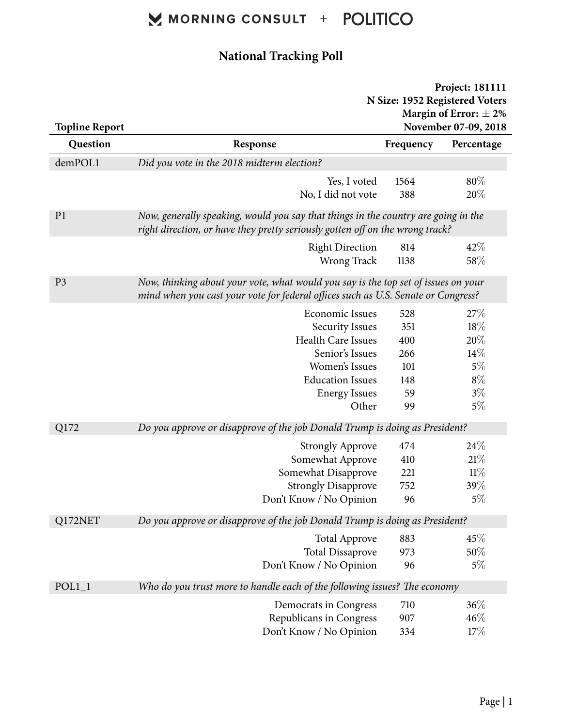#### **National Tracking Poll**

|                       | Project: 181111                                                                                                                                                         |                                                              |            |  |
|-----------------------|-------------------------------------------------------------------------------------------------------------------------------------------------------------------------|--------------------------------------------------------------|------------|--|
|                       |                                                                                                                                                                         | N Size: 1952 Registered Voters<br>Margin of Error: $\pm 2\%$ |            |  |
| <b>Topline Report</b> |                                                                                                                                                                         | November 07-09, 2018                                         |            |  |
| Question              | Response                                                                                                                                                                | Frequency                                                    | Percentage |  |
| demPOL1               | Did you vote in the 2018 midterm election?                                                                                                                              |                                                              |            |  |
|                       | Yes, I voted                                                                                                                                                            | 1564                                                         | 80%        |  |
|                       | No, I did not vote                                                                                                                                                      | 388                                                          | 20%        |  |
|                       |                                                                                                                                                                         |                                                              |            |  |
| P <sub>1</sub>        | Now, generally speaking, would you say that things in the country are going in the<br>right direction, or have they pretty seriously gotten off on the wrong track?     |                                                              |            |  |
|                       | <b>Right Direction</b>                                                                                                                                                  | 814                                                          | 42%        |  |
|                       | Wrong Track                                                                                                                                                             | 1138                                                         | 58\%       |  |
| P <sub>3</sub>        | Now, thinking about your vote, what would you say is the top set of issues on your<br>mind when you cast your vote for federal offices such as U.S. Senate or Congress? |                                                              |            |  |
|                       | <b>Economic Issues</b>                                                                                                                                                  | 528                                                          | 27%        |  |
|                       | <b>Security Issues</b>                                                                                                                                                  | 351                                                          | 18%        |  |
|                       | <b>Health Care Issues</b>                                                                                                                                               | 400                                                          | 20%        |  |
|                       | Senior's Issues                                                                                                                                                         | 266                                                          | 14%        |  |
|                       | Women's Issues                                                                                                                                                          | 101                                                          | 5%         |  |
|                       | <b>Education Issues</b>                                                                                                                                                 | 148                                                          | $8\%$      |  |
|                       | <b>Energy Issues</b>                                                                                                                                                    | 59                                                           | $3\%$      |  |
|                       | Other                                                                                                                                                                   | 99                                                           | 5%         |  |
| Q172                  | Do you approve or disapprove of the job Donald Trump is doing as President?                                                                                             |                                                              |            |  |
|                       | <b>Strongly Approve</b>                                                                                                                                                 | 474                                                          | 24%        |  |
|                       | Somewhat Approve                                                                                                                                                        | 410                                                          | 21%        |  |
|                       | Somewhat Disapprove                                                                                                                                                     | 221                                                          | $11\%$     |  |
|                       | <b>Strongly Disapprove</b>                                                                                                                                              | 752                                                          | 39%        |  |
|                       | Don't Know / No Opinion                                                                                                                                                 | 96                                                           | $5\%$      |  |
| Q172NET               | Do you approve or disapprove of the job Donald Trump is doing as President?                                                                                             |                                                              |            |  |
|                       | <b>Total Approve</b>                                                                                                                                                    | 883                                                          | 45%        |  |
|                       | <b>Total Dissaprove</b>                                                                                                                                                 | 973                                                          | $50\%$     |  |
|                       | Don't Know / No Opinion                                                                                                                                                 | 96                                                           | $5\%$      |  |
| $POL1_1$              | Who do you trust more to handle each of the following issues? The economy                                                                                               |                                                              |            |  |
|                       | Democrats in Congress                                                                                                                                                   | 710                                                          | 36%        |  |
|                       | Republicans in Congress                                                                                                                                                 | 907                                                          | 46%        |  |
|                       | Don't Know / No Opinion                                                                                                                                                 | 334                                                          | 17%        |  |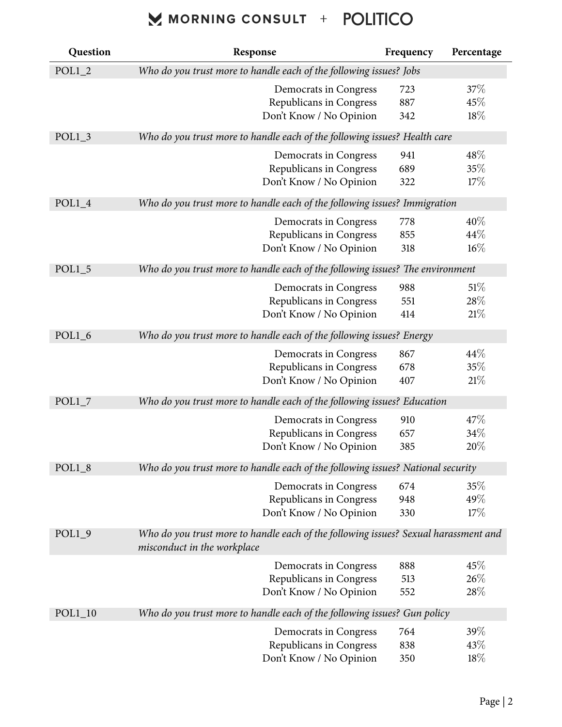| Question  | Response                                                                                                           | Frequency | Percentage |  |
|-----------|--------------------------------------------------------------------------------------------------------------------|-----------|------------|--|
| $POL1_2$  | Who do you trust more to handle each of the following issues? Jobs                                                 |           |            |  |
|           | Democrats in Congress                                                                                              | 723       | 37\%       |  |
|           | Republicans in Congress                                                                                            | 887       | 45%        |  |
|           | Don't Know / No Opinion                                                                                            | 342       | 18%        |  |
| $POL1_3$  | Who do you trust more to handle each of the following issues? Health care                                          |           |            |  |
|           | Democrats in Congress                                                                                              | 941       | 48\%       |  |
|           | Republicans in Congress                                                                                            | 689       | 35%        |  |
|           | Don't Know / No Opinion                                                                                            | 322       | 17%        |  |
| $POL1_4$  | Who do you trust more to handle each of the following issues? Immigration                                          |           |            |  |
|           | Democrats in Congress                                                                                              | 778       | 40%        |  |
|           | Republicans in Congress                                                                                            | 855       | 44%        |  |
|           | Don't Know / No Opinion                                                                                            | 318       | 16%        |  |
| $POL1_5$  | Who do you trust more to handle each of the following issues? The environment                                      |           |            |  |
|           | Democrats in Congress                                                                                              | 988       | 51%        |  |
|           | Republicans in Congress                                                                                            | 551       | 28%        |  |
|           | Don't Know / No Opinion                                                                                            | 414       | 21%        |  |
| $POL1_6$  | Who do you trust more to handle each of the following issues? Energy                                               |           |            |  |
|           | Democrats in Congress                                                                                              | 867       | 44\%       |  |
|           | Republicans in Congress                                                                                            | 678       | 35%        |  |
|           | Don't Know / No Opinion                                                                                            | 407       | 21%        |  |
| POL1 7    | Who do you trust more to handle each of the following issues? Education                                            |           |            |  |
|           | Democrats in Congress                                                                                              | 910       | 47%        |  |
|           | Republicans in Congress                                                                                            | 657       | 34%        |  |
|           | Don't Know / No Opinion                                                                                            | 385       | 20%        |  |
| $POL1_8$  | Who do you trust more to handle each of the following issues? National security                                    |           |            |  |
|           | Democrats in Congress                                                                                              | 674       | 35%        |  |
|           | Republicans in Congress                                                                                            | 948       | 49%        |  |
|           | Don't Know / No Opinion                                                                                            | 330       | 17%        |  |
| $POL1_9$  | Who do you trust more to handle each of the following issues? Sexual harassment and<br>misconduct in the workplace |           |            |  |
|           | Democrats in Congress                                                                                              | 888       | 45%        |  |
|           | Republicans in Congress                                                                                            | 513       | 26%        |  |
|           | Don't Know / No Opinion                                                                                            | 552       | 28%        |  |
| $POL1_10$ | Who do you trust more to handle each of the following issues? Gun policy                                           |           |            |  |
|           | Democrats in Congress                                                                                              | 764       | 39%        |  |
|           | Republicans in Congress                                                                                            | 838       | 43\%       |  |
|           | Don't Know / No Opinion                                                                                            | 350       | 18%        |  |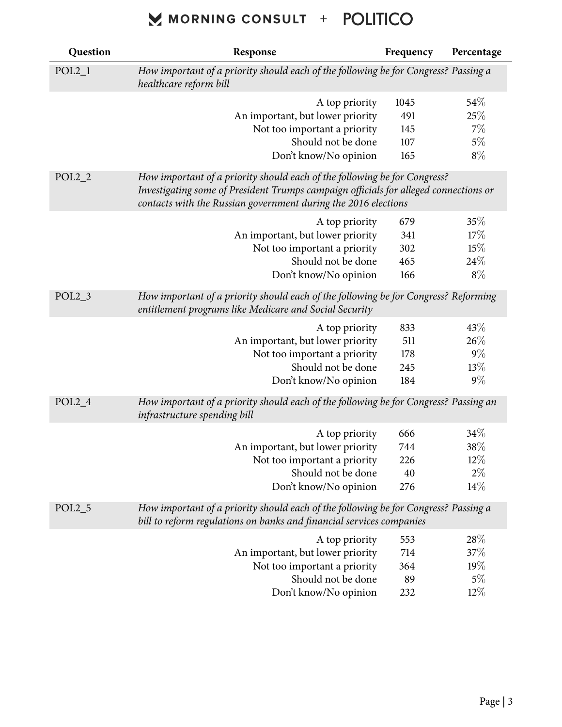| Question | Response                                                                                                                                                                                                                            | Frequency | Percentage |
|----------|-------------------------------------------------------------------------------------------------------------------------------------------------------------------------------------------------------------------------------------|-----------|------------|
| $POL2_1$ | How important of a priority should each of the following be for Congress? Passing a<br>healthcare reform bill                                                                                                                       |           |            |
|          | A top priority                                                                                                                                                                                                                      | 1045      | 54\%       |
|          | An important, but lower priority                                                                                                                                                                                                    | 491       | 25%        |
|          | Not too important a priority                                                                                                                                                                                                        | 145       | 7%         |
|          | Should not be done                                                                                                                                                                                                                  | 107       | 5%         |
|          | Don't know/No opinion                                                                                                                                                                                                               | 165       | $8\%$      |
| $POL2_2$ | How important of a priority should each of the following be for Congress?<br>Investigating some of President Trumps campaign officials for alleged connections or<br>contacts with the Russian government during the 2016 elections |           |            |
|          | A top priority                                                                                                                                                                                                                      | 679       | 35%        |
|          | An important, but lower priority                                                                                                                                                                                                    | 341       | 17%        |
|          | Not too important a priority                                                                                                                                                                                                        | 302       | 15%        |
|          | Should not be done                                                                                                                                                                                                                  | 465       | 24%        |
|          | Don't know/No opinion                                                                                                                                                                                                               | 166       | $8\%$      |
| $POL2_3$ | How important of a priority should each of the following be for Congress? Reforming<br>entitlement programs like Medicare and Social Security                                                                                       |           |            |
|          | A top priority                                                                                                                                                                                                                      | 833       | 43%        |
|          | An important, but lower priority                                                                                                                                                                                                    | 511       | 26%        |
|          | Not too important a priority                                                                                                                                                                                                        | 178       | $9\%$      |
|          | Should not be done                                                                                                                                                                                                                  | 245       | 13%        |
|          | Don't know/No opinion                                                                                                                                                                                                               | 184       | $9\%$      |
| $POL2_4$ | How important of a priority should each of the following be for Congress? Passing an<br>infrastructure spending bill                                                                                                                |           |            |
|          | A top priority                                                                                                                                                                                                                      | 666       | 34%        |
|          | An important, but lower priority                                                                                                                                                                                                    | 744       | 38%        |
|          | Not too important a priority                                                                                                                                                                                                        | 226       | $12\%$     |
|          | Should not be done                                                                                                                                                                                                                  | 40        | $2\%$      |
|          | Don't know/No opinion                                                                                                                                                                                                               | 276       | 14%        |
| $POL2_5$ | How important of a priority should each of the following be for Congress? Passing a<br>bill to reform regulations on banks and financial services companies                                                                         |           |            |
|          | A top priority                                                                                                                                                                                                                      | 553       | 28\%       |
|          | An important, but lower priority                                                                                                                                                                                                    | 714       | 37%        |
|          | Not too important a priority                                                                                                                                                                                                        | 364       | 19%        |
|          | Should not be done                                                                                                                                                                                                                  | 89        | $5\%$      |
|          | Don't know/No opinion                                                                                                                                                                                                               | 232       | $12\%$     |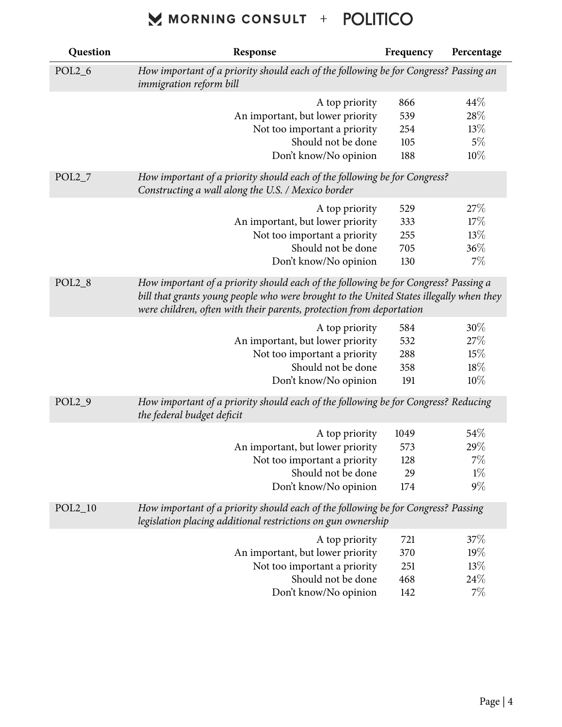| Question  | Response                                                                                                                                                                                                                                               | Frequency | Percentage |
|-----------|--------------------------------------------------------------------------------------------------------------------------------------------------------------------------------------------------------------------------------------------------------|-----------|------------|
| $POL2_6$  | How important of a priority should each of the following be for Congress? Passing an<br>immigration reform bill                                                                                                                                        |           |            |
|           | A top priority                                                                                                                                                                                                                                         | 866       | 44\%       |
|           | An important, but lower priority                                                                                                                                                                                                                       | 539       | 28%        |
|           | Not too important a priority                                                                                                                                                                                                                           | 254       | 13%        |
|           | Should not be done                                                                                                                                                                                                                                     | 105       | $5\%$      |
|           | Don't know/No opinion                                                                                                                                                                                                                                  | 188       | 10%        |
| $POL2_7$  | How important of a priority should each of the following be for Congress?<br>Constructing a wall along the U.S. / Mexico border                                                                                                                        |           |            |
|           | A top priority                                                                                                                                                                                                                                         | 529       | 27\%       |
|           | An important, but lower priority                                                                                                                                                                                                                       | 333       | 17%        |
|           | Not too important a priority                                                                                                                                                                                                                           | 255       | 13%        |
|           | Should not be done                                                                                                                                                                                                                                     | 705       | 36%        |
|           | Don't know/No opinion                                                                                                                                                                                                                                  | 130       | 7%         |
| $POL2_8$  | How important of a priority should each of the following be for Congress? Passing a<br>bill that grants young people who were brought to the United States illegally when they<br>were children, often with their parents, protection from deportation |           |            |
|           | A top priority                                                                                                                                                                                                                                         | 584       | 30%        |
|           | An important, but lower priority                                                                                                                                                                                                                       | 532       | 27%        |
|           | Not too important a priority                                                                                                                                                                                                                           | 288       | 15%        |
|           | Should not be done                                                                                                                                                                                                                                     | 358       | 18%        |
|           | Don't know/No opinion                                                                                                                                                                                                                                  | 191       | $10\%$     |
| $POL2_9$  | How important of a priority should each of the following be for Congress? Reducing<br>the federal budget deficit                                                                                                                                       |           |            |
|           | A top priority                                                                                                                                                                                                                                         | 1049      | 54%        |
|           | An important, but lower priority                                                                                                                                                                                                                       | 573       | 29%        |
|           | Not too important a priority                                                                                                                                                                                                                           | 128       | $7\%$      |
|           | Should not be done                                                                                                                                                                                                                                     | 29        | $1\%$      |
|           | Don't know/No opinion                                                                                                                                                                                                                                  | 174       | $9\%$      |
| $POL2_10$ | How important of a priority should each of the following be for Congress? Passing<br>legislation placing additional restrictions on gun ownership                                                                                                      |           |            |
|           | A top priority                                                                                                                                                                                                                                         | 721       | 37%        |
|           | An important, but lower priority                                                                                                                                                                                                                       | 370       | $19\%$     |
|           | Not too important a priority                                                                                                                                                                                                                           | 251       | 13%        |
|           | Should not be done                                                                                                                                                                                                                                     | 468       | 24\%       |
|           | Don't know/No opinion                                                                                                                                                                                                                                  | 142       | $7\%$      |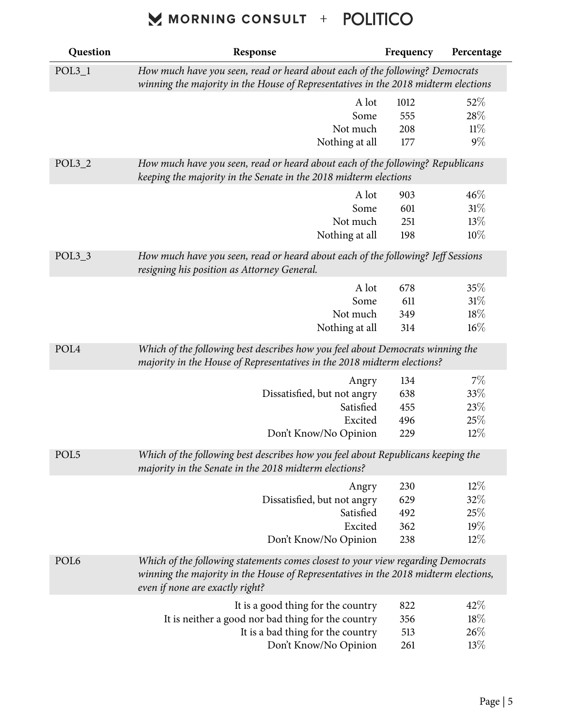| Question         | Response                                                                                                                                                                                                   | Frequency | Percentage |  |
|------------------|------------------------------------------------------------------------------------------------------------------------------------------------------------------------------------------------------------|-----------|------------|--|
| $POL3_1$         | How much have you seen, read or heard about each of the following? Democrats<br>winning the majority in the House of Representatives in the 2018 midterm elections                                         |           |            |  |
|                  | A lot                                                                                                                                                                                                      | 1012      | 52%        |  |
|                  | Some                                                                                                                                                                                                       | 555       | 28\%       |  |
|                  | Not much                                                                                                                                                                                                   | 208       | 11%        |  |
|                  | Nothing at all                                                                                                                                                                                             | 177       | $9\%$      |  |
| $POL3_2$         | How much have you seen, read or heard about each of the following? Republicans<br>keeping the majority in the Senate in the 2018 midterm elections                                                         |           |            |  |
|                  | A lot                                                                                                                                                                                                      | 903       | 46%        |  |
|                  | Some                                                                                                                                                                                                       | 601       | 31%        |  |
|                  | Not much                                                                                                                                                                                                   | 251       | 13%        |  |
|                  | Nothing at all                                                                                                                                                                                             | 198       | 10%        |  |
| $POL3_3$         | How much have you seen, read or heard about each of the following? Jeff Sessions<br>resigning his position as Attorney General.                                                                            |           |            |  |
|                  | A lot                                                                                                                                                                                                      | 678       | 35%        |  |
|                  | Some                                                                                                                                                                                                       | 611       | 31%        |  |
|                  | Not much                                                                                                                                                                                                   | 349       | $18\%$     |  |
|                  | Nothing at all                                                                                                                                                                                             | 314       | $16\%$     |  |
| POL <sub>4</sub> | Which of the following best describes how you feel about Democrats winning the<br>majority in the House of Representatives in the 2018 midterm elections?                                                  |           |            |  |
|                  | Angry                                                                                                                                                                                                      | 134       | 7%         |  |
|                  | Dissatisfied, but not angry                                                                                                                                                                                | 638       | $33\%$     |  |
|                  | Satisfied                                                                                                                                                                                                  | 455       | 23%        |  |
|                  | Excited                                                                                                                                                                                                    | 496       | 25%        |  |
|                  | Don't Know/No Opinion                                                                                                                                                                                      | 229       | $12\%$     |  |
| POL <sub>5</sub> | Which of the following best describes how you feel about Republicans keeping the<br>majority in the Senate in the 2018 midterm elections?                                                                  |           |            |  |
|                  | Angry                                                                                                                                                                                                      | 230       | $12\%$     |  |
|                  | Dissatisfied, but not angry                                                                                                                                                                                | 629       | 32\%       |  |
|                  | Satisfied                                                                                                                                                                                                  | 492       | 25%        |  |
|                  | Excited                                                                                                                                                                                                    | 362       | 19%        |  |
|                  | Don't Know/No Opinion                                                                                                                                                                                      | 238       | $12\%$     |  |
| POL <sub>6</sub> | Which of the following statements comes closest to your view regarding Democrats<br>winning the majority in the House of Representatives in the 2018 midterm elections,<br>even if none are exactly right? |           |            |  |
|                  | It is a good thing for the country                                                                                                                                                                         | 822       | 42%        |  |
|                  | It is neither a good nor bad thing for the country                                                                                                                                                         | 356       | $18\%$     |  |
|                  | It is a bad thing for the country                                                                                                                                                                          | 513       | 26%        |  |
|                  | Don't Know/No Opinion                                                                                                                                                                                      | 261       | 13%        |  |
|                  |                                                                                                                                                                                                            |           |            |  |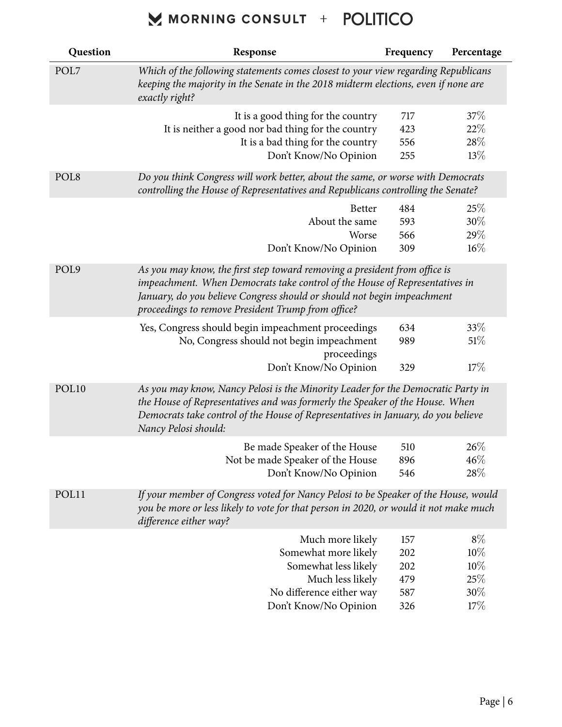| Question          | Response                                                                                                                                                                                                                                                                                   | Frequency | Percentage |
|-------------------|--------------------------------------------------------------------------------------------------------------------------------------------------------------------------------------------------------------------------------------------------------------------------------------------|-----------|------------|
| POL7              | Which of the following statements comes closest to your view regarding Republicans<br>keeping the majority in the Senate in the 2018 midterm elections, even if none are<br>exactly right?                                                                                                 |           |            |
|                   | It is a good thing for the country                                                                                                                                                                                                                                                         | 717       | 37%        |
|                   | It is neither a good nor bad thing for the country                                                                                                                                                                                                                                         | 423       | 22%        |
|                   | It is a bad thing for the country                                                                                                                                                                                                                                                          | 556       | 28%        |
|                   | Don't Know/No Opinion                                                                                                                                                                                                                                                                      | 255       | 13%        |
| POL <sub>8</sub>  | Do you think Congress will work better, about the same, or worse with Democrats<br>controlling the House of Representatives and Republicans controlling the Senate?                                                                                                                        |           |            |
|                   | <b>Better</b>                                                                                                                                                                                                                                                                              | 484       | 25%        |
|                   | About the same                                                                                                                                                                                                                                                                             | 593       | 30%        |
|                   | Worse                                                                                                                                                                                                                                                                                      | 566       | 29%        |
|                   | Don't Know/No Opinion                                                                                                                                                                                                                                                                      | 309       | $16\%$     |
| POL9              | As you may know, the first step toward removing a president from office is<br>impeachment. When Democrats take control of the House of Representatives in<br>January, do you believe Congress should or should not begin impeachment<br>proceedings to remove President Trump from office? |           |            |
|                   | Yes, Congress should begin impeachment proceedings                                                                                                                                                                                                                                         | 634       | 33%        |
|                   | No, Congress should not begin impeachment<br>proceedings                                                                                                                                                                                                                                   | 989       | 51%        |
|                   | Don't Know/No Opinion                                                                                                                                                                                                                                                                      | 329       | 17%        |
| POL <sub>10</sub> | As you may know, Nancy Pelosi is the Minority Leader for the Democratic Party in<br>the House of Representatives and was formerly the Speaker of the House. When<br>Democrats take control of the House of Representatives in January, do you believe<br>Nancy Pelosi should:              |           |            |
|                   | Be made Speaker of the House                                                                                                                                                                                                                                                               | 510       | 26%        |
|                   | Not be made Speaker of the House                                                                                                                                                                                                                                                           | 896       | 46%        |
|                   | Don't Know/No Opinion                                                                                                                                                                                                                                                                      | 546       | 28\%       |
| POL11             | If your member of Congress voted for Nancy Pelosi to be Speaker of the House, would<br>you be more or less likely to vote for that person in 2020, or would it not make much<br>difference either way?                                                                                     |           |            |
|                   | Much more likely                                                                                                                                                                                                                                                                           | 157       | $8\%$      |
|                   | Somewhat more likely                                                                                                                                                                                                                                                                       | 202       | 10%        |
|                   | Somewhat less likely                                                                                                                                                                                                                                                                       | 202       | 10%        |
|                   | Much less likely                                                                                                                                                                                                                                                                           | 479       | 25%        |
|                   | No difference either way                                                                                                                                                                                                                                                                   | 587       | 30%        |
|                   | Don't Know/No Opinion                                                                                                                                                                                                                                                                      | 326       | 17%        |
|                   |                                                                                                                                                                                                                                                                                            |           |            |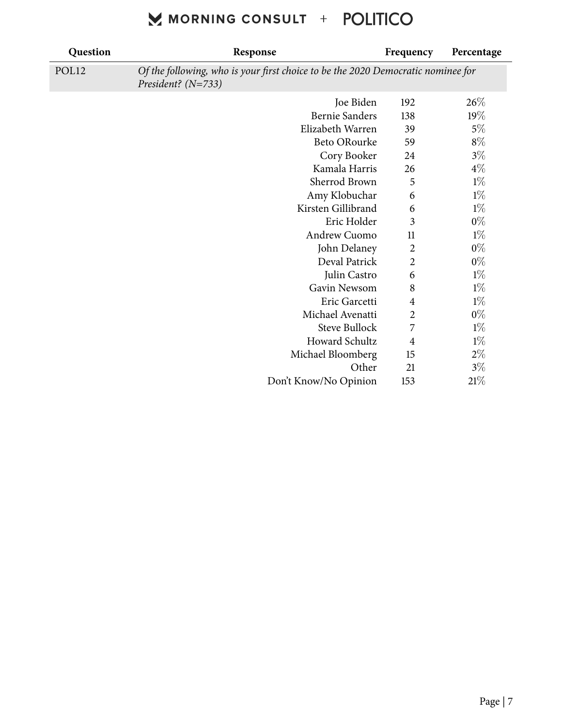| Question | Response                                                                                                 | Frequency        | Percentage |
|----------|----------------------------------------------------------------------------------------------------------|------------------|------------|
| POL12    | Of the following, who is your first choice to be the 2020 Democratic nominee for<br>President? $(N=733)$ |                  |            |
|          | Joe Biden                                                                                                | 192              | 26%        |
|          | <b>Bernie Sanders</b>                                                                                    | 138              | 19%        |
|          | Elizabeth Warren                                                                                         | 39               | $5\%$      |
|          | <b>Beto ORourke</b>                                                                                      | 59               | $8\%$      |
|          | Cory Booker                                                                                              | 24               | $3\%$      |
|          | Kamala Harris                                                                                            | 26               | $4\%$      |
|          | Sherrod Brown                                                                                            | 5                | $1\%$      |
|          | Amy Klobuchar                                                                                            | 6                | $1\%$      |
|          | Kirsten Gillibrand                                                                                       | 6                | $1\%$      |
|          | Eric Holder                                                                                              | 3                | $0\%$      |
|          | Andrew Cuomo                                                                                             | 11               | $1\%$      |
|          | John Delaney                                                                                             | $\boldsymbol{2}$ | $0\%$      |
|          | Deval Patrick                                                                                            | $\overline{2}$   | $0\%$      |
|          | Julin Castro                                                                                             | 6                | $1\%$      |
|          | Gavin Newsom                                                                                             | 8                | $1\%$      |
|          | Eric Garcetti                                                                                            | $\overline{4}$   | $1\%$      |
|          | Michael Avenatti                                                                                         | $\overline{c}$   | $0\%$      |
|          | <b>Steve Bullock</b>                                                                                     | 7                | $1\%$      |
|          | Howard Schultz                                                                                           | $\overline{4}$   | $1\%$      |
|          | Michael Bloomberg                                                                                        | 15               | $2\%$      |
|          | Other                                                                                                    | 21               | $3\%$      |
|          | Don't Know/No Opinion                                                                                    | 153              | $21\%$     |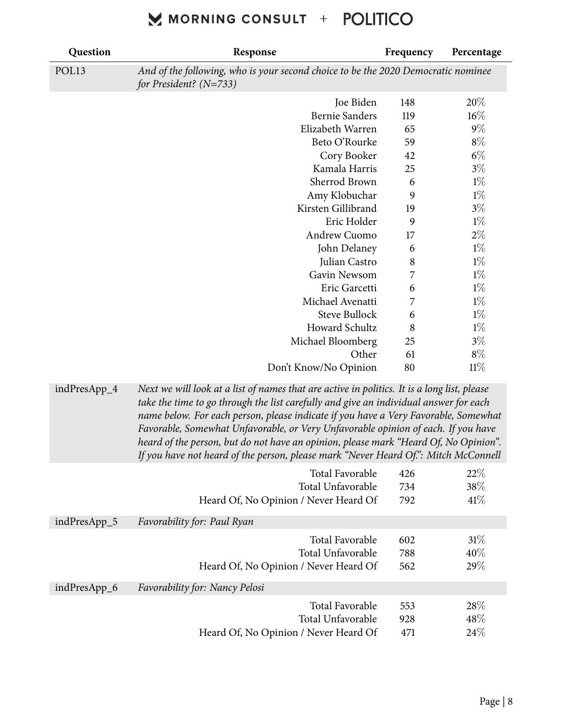| Question     | Response                                                                                                                                                                                                                                                                                                                                                                                                                                                                                                                                        | Frequency | Percentage |  |  |
|--------------|-------------------------------------------------------------------------------------------------------------------------------------------------------------------------------------------------------------------------------------------------------------------------------------------------------------------------------------------------------------------------------------------------------------------------------------------------------------------------------------------------------------------------------------------------|-----------|------------|--|--|
| POL13        | And of the following, who is your second choice to be the 2020 Democratic nominee<br>for President? $(N=733)$                                                                                                                                                                                                                                                                                                                                                                                                                                   |           |            |  |  |
|              | Joe Biden                                                                                                                                                                                                                                                                                                                                                                                                                                                                                                                                       | 148       | 20%        |  |  |
|              | <b>Bernie Sanders</b>                                                                                                                                                                                                                                                                                                                                                                                                                                                                                                                           | 119       | 16%        |  |  |
|              | Elizabeth Warren                                                                                                                                                                                                                                                                                                                                                                                                                                                                                                                                | 65        | $9\%$      |  |  |
|              | Beto O'Rourke                                                                                                                                                                                                                                                                                                                                                                                                                                                                                                                                   | 59        | $8\%$      |  |  |
|              | Cory Booker                                                                                                                                                                                                                                                                                                                                                                                                                                                                                                                                     | 42        | $6\%$      |  |  |
|              | Kamala Harris                                                                                                                                                                                                                                                                                                                                                                                                                                                                                                                                   | 25        | $3\%$      |  |  |
|              | Sherrod Brown                                                                                                                                                                                                                                                                                                                                                                                                                                                                                                                                   | 6         | $1\%$      |  |  |
|              | Amy Klobuchar                                                                                                                                                                                                                                                                                                                                                                                                                                                                                                                                   | 9         | $1\%$      |  |  |
|              | Kirsten Gillibrand                                                                                                                                                                                                                                                                                                                                                                                                                                                                                                                              | 19        | $3\%$      |  |  |
|              | Eric Holder                                                                                                                                                                                                                                                                                                                                                                                                                                                                                                                                     | 9         | $1\%$      |  |  |
|              | Andrew Cuomo                                                                                                                                                                                                                                                                                                                                                                                                                                                                                                                                    | 17        | $2\%$      |  |  |
|              | John Delaney                                                                                                                                                                                                                                                                                                                                                                                                                                                                                                                                    | 6         | $1\%$      |  |  |
|              | Julian Castro                                                                                                                                                                                                                                                                                                                                                                                                                                                                                                                                   | $\,8\,$   | $1\%$      |  |  |
|              | Gavin Newsom                                                                                                                                                                                                                                                                                                                                                                                                                                                                                                                                    | 7         | $1\%$      |  |  |
|              | Eric Garcetti                                                                                                                                                                                                                                                                                                                                                                                                                                                                                                                                   | 6         | $1\%$      |  |  |
|              | Michael Avenatti                                                                                                                                                                                                                                                                                                                                                                                                                                                                                                                                | 7         | $1\%$      |  |  |
|              | <b>Steve Bullock</b>                                                                                                                                                                                                                                                                                                                                                                                                                                                                                                                            | 6         | $1\%$      |  |  |
|              | Howard Schultz                                                                                                                                                                                                                                                                                                                                                                                                                                                                                                                                  | 8         | $1\%$      |  |  |
|              | Michael Bloomberg                                                                                                                                                                                                                                                                                                                                                                                                                                                                                                                               | 25        | $3\%$      |  |  |
|              | Other                                                                                                                                                                                                                                                                                                                                                                                                                                                                                                                                           | 61        | $8\%$      |  |  |
|              | Don't Know/No Opinion                                                                                                                                                                                                                                                                                                                                                                                                                                                                                                                           | 80        | 11%        |  |  |
| indPresApp_4 | Next we will look at a list of names that are active in politics. It is a long list, please<br>take the time to go through the list carefully and give an individual answer for each<br>name below. For each person, please indicate if you have a Very Favorable, Somewhat<br>Favorable, Somewhat Unfavorable, or Very Unfavorable opinion of each. If you have<br>heard of the person, but do not have an opinion, please mark "Heard Of, No Opinion".<br>If you have not heard of the person, please mark "Never Heard Of.": Mitch McConnell |           |            |  |  |
|              | Total Favorable                                                                                                                                                                                                                                                                                                                                                                                                                                                                                                                                 | 426       | 22%        |  |  |
|              | Total Unfavorable                                                                                                                                                                                                                                                                                                                                                                                                                                                                                                                               | 734       | 38\%       |  |  |
|              | Heard Of, No Opinion / Never Heard Of                                                                                                                                                                                                                                                                                                                                                                                                                                                                                                           | 792       | 41%        |  |  |
| indPresApp_5 | Favorability for: Paul Ryan                                                                                                                                                                                                                                                                                                                                                                                                                                                                                                                     |           |            |  |  |
|              | Total Favorable                                                                                                                                                                                                                                                                                                                                                                                                                                                                                                                                 | 602       | 31%        |  |  |
|              | Total Unfavorable                                                                                                                                                                                                                                                                                                                                                                                                                                                                                                                               | 788       | $40\%$     |  |  |
|              | Heard Of, No Opinion / Never Heard Of                                                                                                                                                                                                                                                                                                                                                                                                                                                                                                           | 562       | 29%        |  |  |
| indPresApp_6 | Favorability for: Nancy Pelosi                                                                                                                                                                                                                                                                                                                                                                                                                                                                                                                  |           |            |  |  |
|              | Total Favorable                                                                                                                                                                                                                                                                                                                                                                                                                                                                                                                                 | 553       | 28%        |  |  |
|              | Total Unfavorable                                                                                                                                                                                                                                                                                                                                                                                                                                                                                                                               | 928       | 48%        |  |  |
|              | Heard Of, No Opinion / Never Heard Of                                                                                                                                                                                                                                                                                                                                                                                                                                                                                                           | 471       | 24\%       |  |  |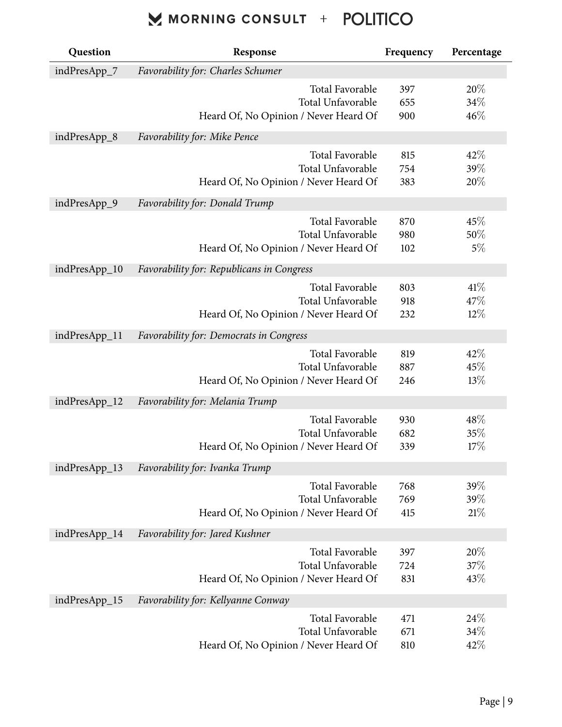| Question      | Response                                       | Frequency | Percentage |  |
|---------------|------------------------------------------------|-----------|------------|--|
| indPresApp_7  | <b>Favorability for: Charles Schumer</b>       |           |            |  |
|               | <b>Total Favorable</b>                         | 397       | 20%        |  |
|               | Total Unfavorable                              | 655       | $34\%$     |  |
|               | Heard Of, No Opinion / Never Heard Of          | 900       | 46%        |  |
| indPresApp_8  | Favorability for: Mike Pence                   |           |            |  |
|               | Total Favorable                                | 815       | 42%        |  |
|               | Total Unfavorable                              | 754       | 39%        |  |
|               | Heard Of, No Opinion / Never Heard Of          | 383       | 20%        |  |
| indPresApp_9  | <b>Favorability for: Donald Trump</b>          |           |            |  |
|               | <b>Total Favorable</b>                         | 870       | 45%        |  |
|               | Total Unfavorable                              | 980       | 50%        |  |
|               | Heard Of, No Opinion / Never Heard Of          | 102       | $5\%$      |  |
| indPresApp_10 | Favorability for: Republicans in Congress      |           |            |  |
|               | <b>Total Favorable</b>                         | 803       | 41\%       |  |
|               | Total Unfavorable                              | 918       | 47%        |  |
|               | Heard Of, No Opinion / Never Heard Of          | 232       | $12\%$     |  |
| indPresApp_11 | <b>Favorability for: Democrats in Congress</b> |           |            |  |
|               | <b>Total Favorable</b>                         | 819       | 42%        |  |
|               | Total Unfavorable                              | 887       | 45%        |  |
|               | Heard Of, No Opinion / Never Heard Of          | 246       | 13%        |  |
| indPresApp_12 | Favorability for: Melania Trump                |           |            |  |
|               | <b>Total Favorable</b>                         | 930       | $48\%$     |  |
|               | Total Unfavorable                              | 682       | 35%        |  |
|               | Heard Of, No Opinion / Never Heard Of          | 339       | 17%        |  |
| indPresApp_13 | Favorability for: Ivanka Trump                 |           |            |  |
|               | Total Favorable                                | 768       | 39%        |  |
|               | Total Unfavorable                              | 769       | 39%        |  |
|               | Heard Of, No Opinion / Never Heard Of          | 415       | 21%        |  |
| indPresApp_14 | Favorability for: Jared Kushner                |           |            |  |
|               | Total Favorable                                | 397       | 20%        |  |
|               | Total Unfavorable                              | 724       | 37%        |  |
|               | Heard Of, No Opinion / Never Heard Of          | 831       | 43%        |  |
| indPresApp_15 | Favorability for: Kellyanne Conway             |           |            |  |
|               | Total Favorable                                | 471       | 24%        |  |
|               | Total Unfavorable                              | 671       | 34\%       |  |
|               | Heard Of, No Opinion / Never Heard Of          | 810       | 42\%       |  |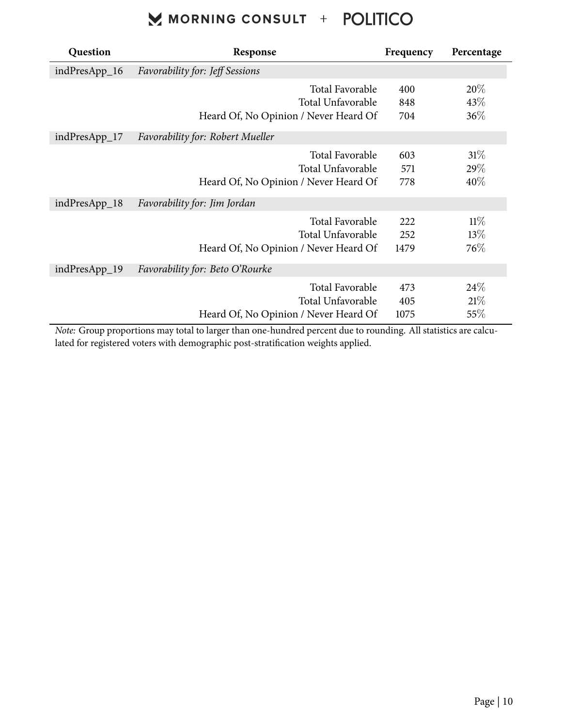| Question      | Response                                                                             | Frequency          | Percentage              |
|---------------|--------------------------------------------------------------------------------------|--------------------|-------------------------|
| indPresApp_16 | <b>Favorability for: Jeff Sessions</b>                                               |                    |                         |
|               | <b>Total Favorable</b><br>Total Unfavorable<br>Heard Of, No Opinion / Never Heard Of | 400<br>848<br>704  | 20%<br>43\%<br>36%      |
| indPresApp_17 | <b>Favorability for: Robert Mueller</b>                                              |                    |                         |
|               | <b>Total Favorable</b><br>Total Unfavorable<br>Heard Of, No Opinion / Never Heard Of | 603<br>571<br>778  | $31\%$<br>29%<br>$40\%$ |
| indPresApp_18 | Favorability for: Jim Jordan                                                         |                    |                         |
|               | <b>Total Favorable</b><br>Total Unfavorable<br>Heard Of, No Opinion / Never Heard Of | 222<br>252<br>1479 | $11\%$<br>13%<br>76%    |
| indPresApp_19 | Favorability for: Beto O'Rourke                                                      |                    |                         |
|               | Total Favorable<br>Total Unfavorable<br>Heard Of, No Opinion / Never Heard Of        | 473<br>405<br>1075 | 24%<br>21%<br>55\%      |

*Note:* Group proportions may total to larger than one-hundred percent due to rounding. All statistics are calculated for registered voters with demographic post-stratification weights applied.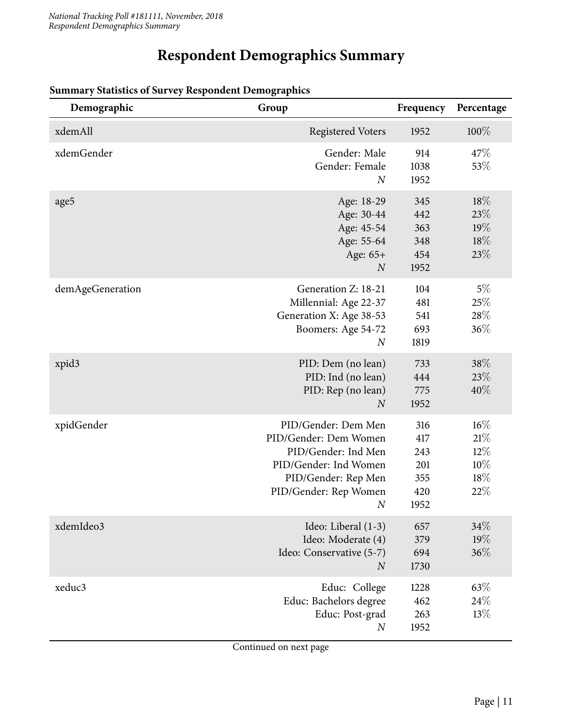#### **Respondent Demographics Summary**

| Demographic      | Group                                                                                                                                                            | Frequency                                      | Percentage                                 |
|------------------|------------------------------------------------------------------------------------------------------------------------------------------------------------------|------------------------------------------------|--------------------------------------------|
| xdemAll          | <b>Registered Voters</b>                                                                                                                                         | 1952                                           | $100\%$                                    |
| xdemGender       | Gender: Male<br>Gender: Female<br>$\boldsymbol{N}$                                                                                                               | 914<br>1038<br>1952                            | 47%<br>53%                                 |
| age5             | Age: 18-29<br>Age: 30-44<br>Age: 45-54<br>Age: 55-64<br>Age: 65+<br>$\boldsymbol{N}$                                                                             | 345<br>442<br>363<br>348<br>454<br>1952        | 18%<br>23\%<br>19%<br>18%<br>23%           |
| demAgeGeneration | Generation Z: 18-21<br>Millennial: Age 22-37<br>Generation X: Age 38-53<br>Boomers: Age 54-72<br>$\boldsymbol{N}$                                                | 104<br>481<br>541<br>693<br>1819               | $5\%$<br>25%<br>28%<br>36%                 |
| xpid3            | PID: Dem (no lean)<br>PID: Ind (no lean)<br>PID: Rep (no lean)<br>$\boldsymbol{N}$                                                                               | 733<br>444<br>775<br>1952                      | 38%<br>23%<br>40%                          |
| xpidGender       | PID/Gender: Dem Men<br>PID/Gender: Dem Women<br>PID/Gender: Ind Men<br>PID/Gender: Ind Women<br>PID/Gender: Rep Men<br>PID/Gender: Rep Women<br>$\boldsymbol{N}$ | 316<br>417<br>243<br>201<br>355<br>420<br>1952 | 16%<br>21%<br>$12\%$<br>10%<br>18\%<br>22% |
| xdemIdeo3        | Ideo: Liberal (1-3)<br>Ideo: Moderate (4)<br>Ideo: Conservative (5-7)<br>$\boldsymbol{N}$                                                                        | 657<br>379<br>694<br>1730                      | 34%<br>19%<br>36%                          |
| xeduc3           | Educ: College<br>Educ: Bachelors degree<br>Educ: Post-grad<br>$\boldsymbol{N}$                                                                                   | 1228<br>462<br>263<br>1952                     | 63%<br>24%<br>13%                          |

#### **Summary Statistics of Survey Respondent Demographics**

Continued on next page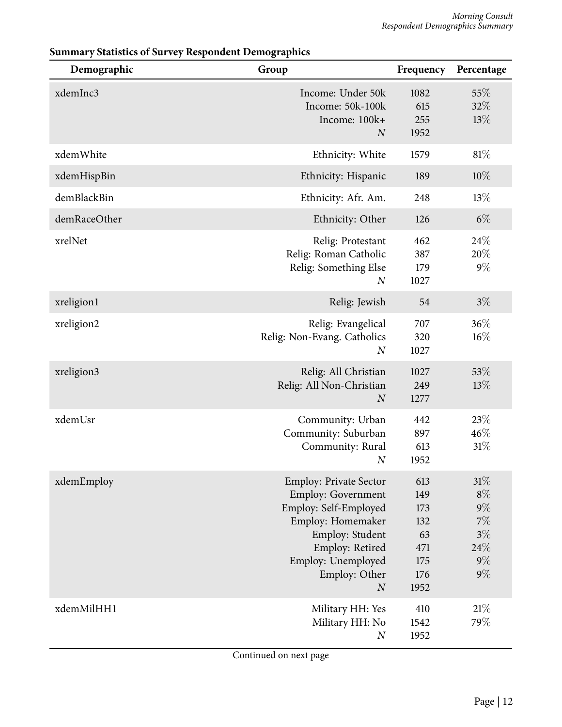| Demographic  | Group                                                                                                                                                                                                     | Frequency                                                   | Percentage                                                             |
|--------------|-----------------------------------------------------------------------------------------------------------------------------------------------------------------------------------------------------------|-------------------------------------------------------------|------------------------------------------------------------------------|
| xdemInc3     | Income: Under 50k<br>Income: 50k-100k<br>Income: 100k+<br>$\overline{N}$                                                                                                                                  | 1082<br>615<br>255<br>1952                                  | 55%<br>32%<br>13%                                                      |
| xdemWhite    | Ethnicity: White                                                                                                                                                                                          | 1579                                                        | $81\%$                                                                 |
| xdemHispBin  | Ethnicity: Hispanic                                                                                                                                                                                       | 189                                                         | $10\%$                                                                 |
| demBlackBin  | Ethnicity: Afr. Am.                                                                                                                                                                                       | 248                                                         | 13%                                                                    |
| demRaceOther | Ethnicity: Other                                                                                                                                                                                          | 126                                                         | $6\%$                                                                  |
| xrelNet      | Relig: Protestant<br>Relig: Roman Catholic<br>Relig: Something Else<br>$\boldsymbol{N}$                                                                                                                   | 462<br>387<br>179<br>1027                                   | 24\%<br>20%<br>$9\%$                                                   |
| xreligion1   | Relig: Jewish                                                                                                                                                                                             | 54                                                          | $3\%$                                                                  |
| xreligion2   | Relig: Evangelical<br>Relig: Non-Evang. Catholics<br>$\overline{N}$                                                                                                                                       | 707<br>320<br>1027                                          | 36%<br>$16\%$                                                          |
| xreligion3   | Relig: All Christian<br>Relig: All Non-Christian<br>$\boldsymbol{N}$                                                                                                                                      | 1027<br>249<br>1277                                         | 53%<br>13%                                                             |
| xdemUsr      | Community: Urban<br>Community: Suburban<br>Community: Rural<br>$\boldsymbol{N}$                                                                                                                           | 442<br>897<br>613<br>1952                                   | 23%<br>46%<br>31%                                                      |
| xdemEmploy   | <b>Employ: Private Sector</b><br><b>Employ: Government</b><br>Employ: Self-Employed<br>Employ: Homemaker<br>Employ: Student<br>Employ: Retired<br>Employ: Unemployed<br>Employ: Other<br>$\boldsymbol{N}$ | 613<br>149<br>173<br>132<br>63<br>471<br>175<br>176<br>1952 | $31\%$<br>$8\%$<br>$9\%$<br>$7\%$<br>$3\%$<br>$24\%$<br>$9\%$<br>$9\%$ |
| xdemMilHH1   | Military HH: Yes<br>Military HH: No<br>$\boldsymbol{N}$                                                                                                                                                   | 410<br>1542<br>1952                                         | 21%<br>79%                                                             |

#### **Summary Statistics of Survey Respondent Demographics**

Continued on next page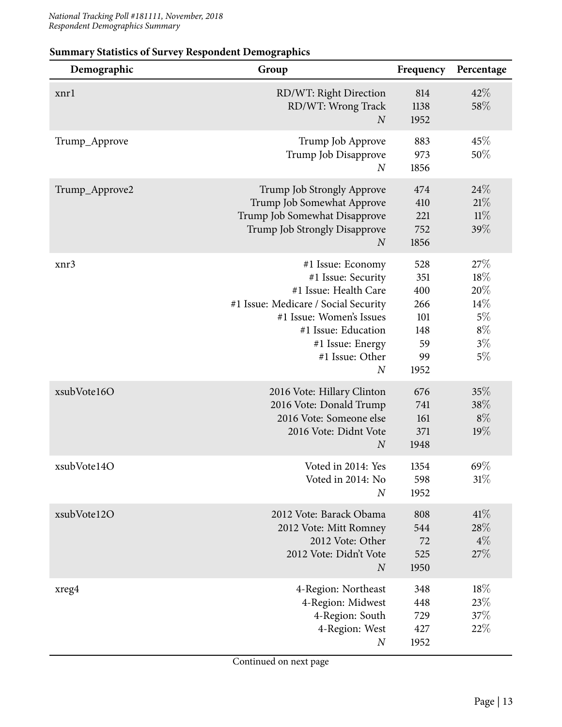| Demographic    | Group                                                                                                                                                                                                                  | Frequency                                                  | Percentage                                                      |
|----------------|------------------------------------------------------------------------------------------------------------------------------------------------------------------------------------------------------------------------|------------------------------------------------------------|-----------------------------------------------------------------|
| xnrl           | RD/WT: Right Direction<br>RD/WT: Wrong Track<br>$\boldsymbol{N}$                                                                                                                                                       | 814<br>1138<br>1952                                        | 42%<br>58%                                                      |
| Trump_Approve  | Trump Job Approve<br>Trump Job Disapprove<br>$\boldsymbol{N}$                                                                                                                                                          | 883<br>973<br>1856                                         | 45%<br>50%                                                      |
| Trump_Approve2 | Trump Job Strongly Approve<br>Trump Job Somewhat Approve<br>Trump Job Somewhat Disapprove<br>Trump Job Strongly Disapprove<br>$\boldsymbol{N}$                                                                         | 474<br>410<br>221<br>752<br>1856                           | 24\%<br>21%<br>11%<br>39%                                       |
| xnr3           | #1 Issue: Economy<br>#1 Issue: Security<br>#1 Issue: Health Care<br>#1 Issue: Medicare / Social Security<br>#1 Issue: Women's Issues<br>#1 Issue: Education<br>#1 Issue: Energy<br>#1 Issue: Other<br>$\boldsymbol{N}$ | 528<br>351<br>400<br>266<br>101<br>148<br>59<br>99<br>1952 | 27%<br>$18\%$<br>20%<br>14%<br>$5\%$<br>$8\%$<br>$3\%$<br>$5\%$ |
| xsubVote16O    | 2016 Vote: Hillary Clinton<br>2016 Vote: Donald Trump<br>2016 Vote: Someone else<br>2016 Vote: Didnt Vote<br>$\boldsymbol{N}$                                                                                          | 676<br>741<br>161<br>371<br>1948                           | 35%<br>38%<br>$8\%$<br>19%                                      |
| xsubVote14O    | Voted in 2014: Yes<br>Voted in 2014: No<br>$\boldsymbol{N}$                                                                                                                                                            | 1354<br>598<br>1952                                        | 69%<br>31%                                                      |
| xsubVote12O    | 2012 Vote: Barack Obama<br>2012 Vote: Mitt Romney<br>2012 Vote: Other<br>2012 Vote: Didn't Vote<br>$\boldsymbol{N}$                                                                                                    | 808<br>544<br>72<br>525<br>1950                            | 41%<br>28%<br>$4\%$<br>27%                                      |
| xreg4          | 4-Region: Northeast<br>4-Region: Midwest<br>4-Region: South<br>4-Region: West<br>$\boldsymbol{N}$                                                                                                                      | 348<br>448<br>729<br>427<br>1952                           | 18%<br>$23\%$<br>37%<br>22%                                     |

#### **Summary Statistics of Survey Respondent Demographics**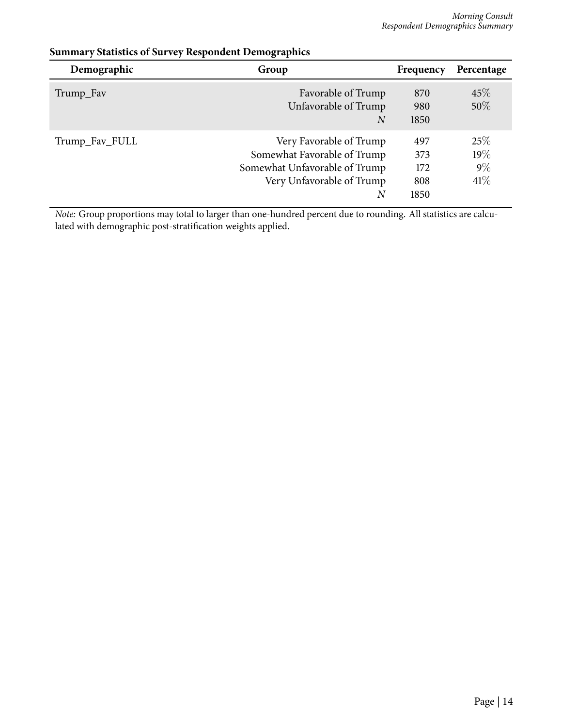| Demographic    | Group                                                                                                                     | Frequency                        | Percentage                    |
|----------------|---------------------------------------------------------------------------------------------------------------------------|----------------------------------|-------------------------------|
| Trump_Fav      | Favorable of Trump<br>Unfavorable of Trump<br>N                                                                           | 870<br>980<br>1850               | 45%<br>50\%                   |
| Trump_Fav_FULL | Very Favorable of Trump<br>Somewhat Favorable of Trump<br>Somewhat Unfavorable of Trump<br>Very Unfavorable of Trump<br>N | 497<br>373<br>172<br>808<br>1850 | 25%<br>19%<br>$9\%$<br>$41\%$ |

#### **Summary Statistics of Survey Respondent Demographics**

*Note:* Group proportions may total to larger than one-hundred percent due to rounding. All statistics are calculated with demographic post-stratification weights applied.